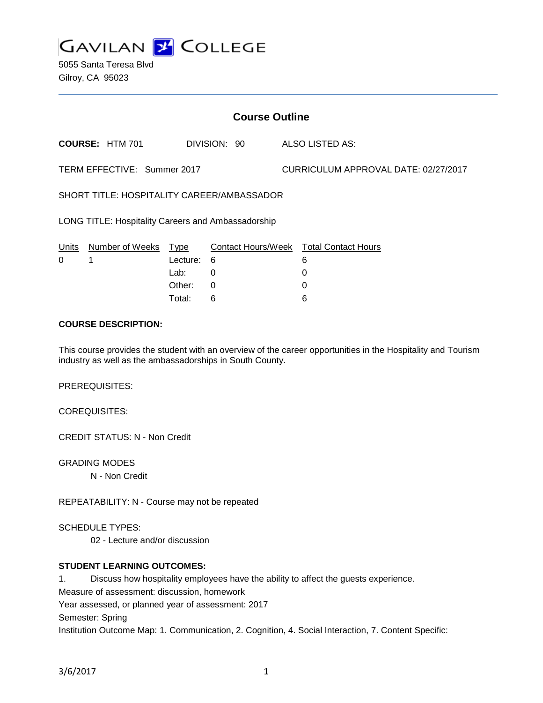

5055 Santa Teresa Blvd Gilroy, CA 95023

| <b>Course Outline</b>                              |                        |          |              |                                      |                                        |
|----------------------------------------------------|------------------------|----------|--------------|--------------------------------------|----------------------------------------|
|                                                    | <b>COURSE: HTM 701</b> |          | DIVISION: 90 |                                      | ALSO LISTED AS:                        |
| TERM EFFECTIVE: Summer 2017                        |                        |          |              | CURRICULUM APPROVAL DATE: 02/27/2017 |                                        |
| SHORT TITLE: HOSPITALITY CAREER/AMBASSADOR         |                        |          |              |                                      |                                        |
| LONG TITLE: Hospitality Careers and Ambassadorship |                        |          |              |                                      |                                        |
| Units                                              | Number of Weeks        | Type     |              |                                      | Contact Hours/Week Total Contact Hours |
| 0                                                  |                        | Lecture: | 6            |                                      | 6                                      |
|                                                    |                        | Lab:     | 0            |                                      | 0                                      |
|                                                    |                        | Other:   | 0            |                                      | 0                                      |
|                                                    |                        | Total:   | 6            |                                      | 6                                      |

# **COURSE DESCRIPTION:**

This course provides the student with an overview of the career opportunities in the Hospitality and Tourism industry as well as the ambassadorships in South County.

PREREQUISITES:

COREQUISITES:

CREDIT STATUS: N - Non Credit

GRADING MODES

N - Non Credit

REPEATABILITY: N - Course may not be repeated

SCHEDULE TYPES:

02 - Lecture and/or discussion

## **STUDENT LEARNING OUTCOMES:**

1. Discuss how hospitality employees have the ability to affect the guests experience.

Measure of assessment: discussion, homework

Year assessed, or planned year of assessment: 2017

Semester: Spring

Institution Outcome Map: 1. Communication, 2. Cognition, 4. Social Interaction, 7. Content Specific: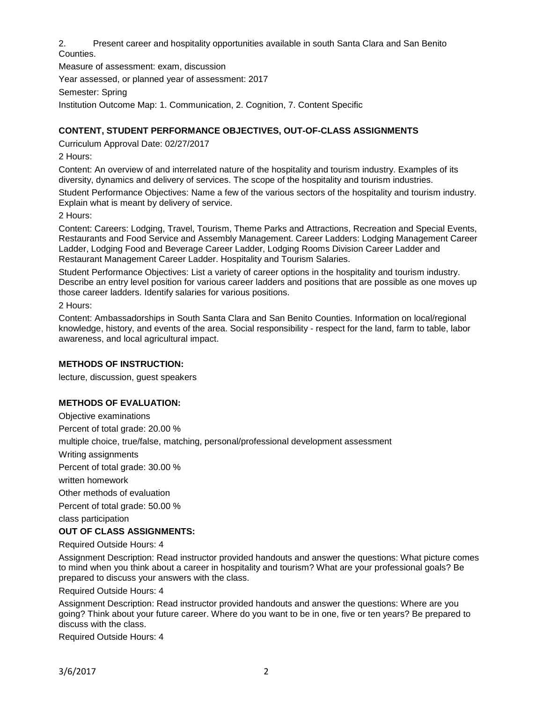2. Present career and hospitality opportunities available in south Santa Clara and San Benito Counties.

Measure of assessment: exam, discussion Year assessed, or planned year of assessment: 2017 Semester: Spring Institution Outcome Map: 1. Communication, 2. Cognition, 7. Content Specific

# **CONTENT, STUDENT PERFORMANCE OBJECTIVES, OUT-OF-CLASS ASSIGNMENTS**

Curriculum Approval Date: 02/27/2017

2 Hours:

Content: An overview of and interrelated nature of the hospitality and tourism industry. Examples of its diversity, dynamics and delivery of services. The scope of the hospitality and tourism industries.

Student Performance Objectives: Name a few of the various sectors of the hospitality and tourism industry. Explain what is meant by delivery of service.

2 Hours:

Content: Careers: Lodging, Travel, Tourism, Theme Parks and Attractions, Recreation and Special Events, Restaurants and Food Service and Assembly Management. Career Ladders: Lodging Management Career Ladder, Lodging Food and Beverage Career Ladder, Lodging Rooms Division Career Ladder and Restaurant Management Career Ladder. Hospitality and Tourism Salaries.

Student Performance Objectives: List a variety of career options in the hospitality and tourism industry. Describe an entry level position for various career ladders and positions that are possible as one moves up those career ladders. Identify salaries for various positions.

2 Hours:

Content: Ambassadorships in South Santa Clara and San Benito Counties. Information on local/regional knowledge, history, and events of the area. Social responsibility - respect for the land, farm to table, labor awareness, and local agricultural impact.

## **METHODS OF INSTRUCTION:**

lecture, discussion, guest speakers

## **METHODS OF EVALUATION:**

Objective examinations Percent of total grade: 20.00 % multiple choice, true/false, matching, personal/professional development assessment Writing assignments Percent of total grade: 30.00 % written homework Other methods of evaluation Percent of total grade: 50.00 % class participation

## **OUT OF CLASS ASSIGNMENTS:**

Required Outside Hours: 4

Assignment Description: Read instructor provided handouts and answer the questions: What picture comes to mind when you think about a career in hospitality and tourism? What are your professional goals? Be prepared to discuss your answers with the class.

Required Outside Hours: 4

Assignment Description: Read instructor provided handouts and answer the questions: Where are you going? Think about your future career. Where do you want to be in one, five or ten years? Be prepared to discuss with the class.

Required Outside Hours: 4